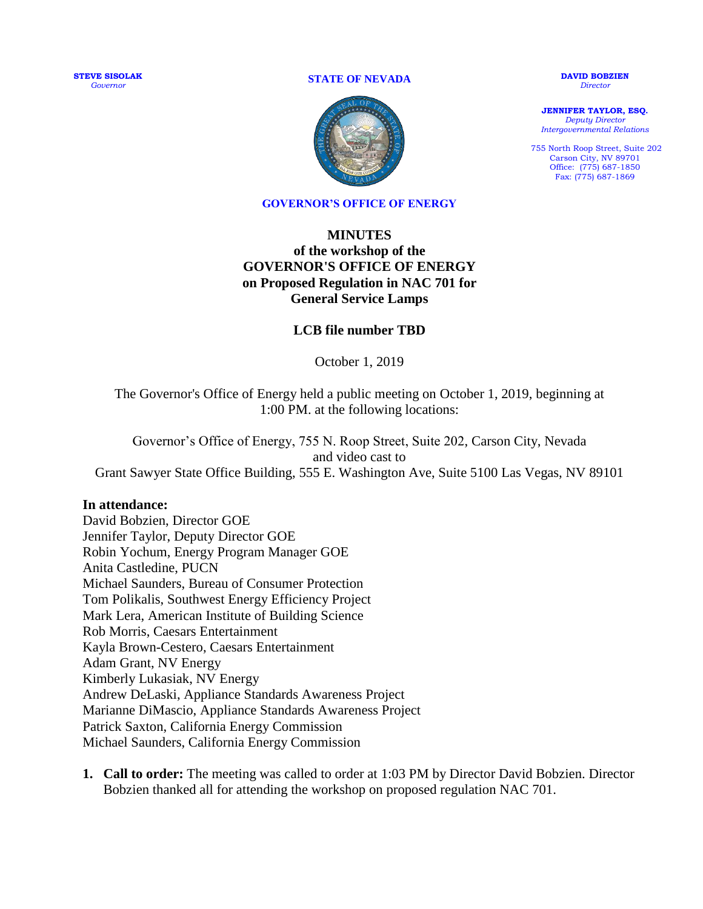**STEVE SISOLAK** *Governor*

**STATE OF NEVADA**



**DAVID BOBZIEN** *Director*

**JENNIFER TAYLOR, ESQ.** *Deputy Director Intergovernmental Relations*

755 North Roop Street, Suite 202 Carson City, NV 89701 Office: (775) 687-1850 Fax: (775) 687-1869

## **GOVERNOR'S OFFICE OF ENERGY**

## **MINUTES of the workshop of the GOVERNOR'S OFFICE OF ENERGY on Proposed Regulation in NAC 701 for General Service Lamps**

## **LCB file number TBD**

October 1, 2019

The Governor's Office of Energy held a public meeting on October 1, 2019, beginning at 1:00 PM. at the following locations:

Governor's Office of Energy, 755 N. Roop Street, Suite 202, Carson City, Nevada and video cast to Grant Sawyer State Office Building, 555 E. Washington Ave, Suite 5100 Las Vegas, NV 89101

## **In attendance:**

David Bobzien, Director GOE Jennifer Taylor, Deputy Director GOE Robin Yochum, Energy Program Manager GOE Anita Castledine, PUCN Michael Saunders, Bureau of Consumer Protection Tom Polikalis, Southwest Energy Efficiency Project Mark Lera, American Institute of Building Science Rob Morris, Caesars Entertainment Kayla Brown-Cestero, Caesars Entertainment Adam Grant, NV Energy Kimberly Lukasiak, NV Energy Andrew DeLaski, Appliance Standards Awareness Project Marianne DiMascio, Appliance Standards Awareness Project Patrick Saxton, California Energy Commission Michael Saunders, California Energy Commission

**1. Call to order:** The meeting was called to order at 1:03 PM by Director David Bobzien. Director Bobzien thanked all for attending the workshop on proposed regulation NAC 701.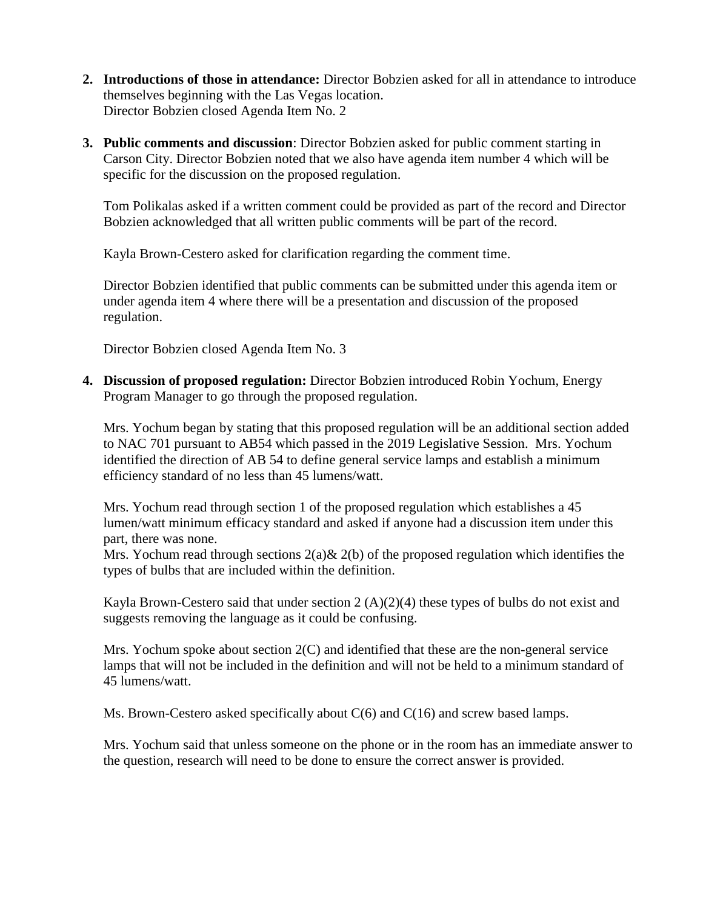- **2. Introductions of those in attendance:** Director Bobzien asked for all in attendance to introduce themselves beginning with the Las Vegas location. Director Bobzien closed Agenda Item No. 2
- **3. Public comments and discussion**: Director Bobzien asked for public comment starting in Carson City. Director Bobzien noted that we also have agenda item number 4 which will be specific for the discussion on the proposed regulation.

Tom Polikalas asked if a written comment could be provided as part of the record and Director Bobzien acknowledged that all written public comments will be part of the record.

Kayla Brown-Cestero asked for clarification regarding the comment time.

Director Bobzien identified that public comments can be submitted under this agenda item or under agenda item 4 where there will be a presentation and discussion of the proposed regulation.

Director Bobzien closed Agenda Item No. 3

**4. Discussion of proposed regulation:** Director Bobzien introduced Robin Yochum, Energy Program Manager to go through the proposed regulation.

Mrs. Yochum began by stating that this proposed regulation will be an additional section added to NAC 701 pursuant to AB54 which passed in the 2019 Legislative Session. Mrs. Yochum identified the direction of AB 54 to define general service lamps and establish a minimum efficiency standard of no less than 45 lumens/watt.

Mrs. Yochum read through section 1 of the proposed regulation which establishes a 45 lumen/watt minimum efficacy standard and asked if anyone had a discussion item under this part, there was none.

Mrs. Yochum read through sections  $2(a) \& 2(b)$  of the proposed regulation which identifies the types of bulbs that are included within the definition.

Kayla Brown-Cestero said that under section 2  $(A)(2)(4)$  these types of bulbs do not exist and suggests removing the language as it could be confusing.

Mrs. Yochum spoke about section 2(C) and identified that these are the non-general service lamps that will not be included in the definition and will not be held to a minimum standard of 45 lumens/watt.

Ms. Brown-Cestero asked specifically about  $C(6)$  and  $C(16)$  and screw based lamps.

Mrs. Yochum said that unless someone on the phone or in the room has an immediate answer to the question, research will need to be done to ensure the correct answer is provided.